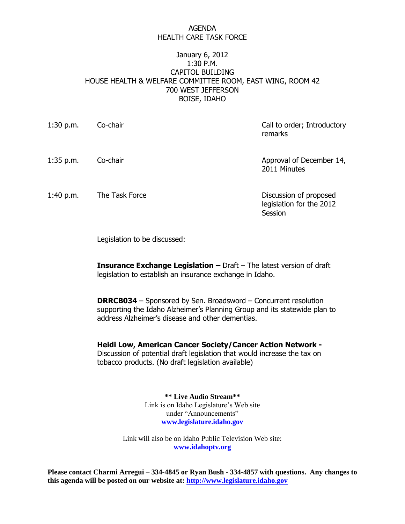## AGENDA HEALTH CARE TASK FORCE

## January 6, 2012 1:30 P.M. CAPITOL BUILDING HOUSE HEALTH & WELFARE COMMITTEE ROOM, EAST WING, ROOM 42 700 WEST JEFFERSON BOISE, IDAHO

| $1:30$ p.m. | Co-chair       | Call to order; Introductory<br>remarks                        |
|-------------|----------------|---------------------------------------------------------------|
| $1:35$ p.m. | Co-chair       | Approval of December 14,<br>2011 Minutes                      |
| 1:40 p.m.   | The Task Force | Discussion of proposed<br>legislation for the 2012<br>Session |

Legislation to be discussed:

**Insurance Exchange Legislation –** Draft – The latest version of draft legislation to establish an insurance exchange in Idaho.

**DRRCB034** – Sponsored by Sen. Broadsword – Concurrent resolution supporting the Idaho Alzheimer's Planning Group and its statewide plan to address Alzheimer's disease and other dementias.

**Heidi Low, American Cancer Society/Cancer Action Network -** Discussion of potential draft legislation that would increase the tax on tobacco products. (No draft legislation available)

> **\*\* Live Audio Stream\*\*** Link is on Idaho Legislature's Web site under "Announcements" **www.legislature.idaho.gov**

Link will also be on Idaho Public Television Web site: **www.idahoptv.org**

**Please contact Charmi Arregui – 334-4845 or Ryan Bush - 334-4857 with questions. Any changes to this agenda will be posted on our website at: [http://www.legislature.idaho.gov](http://www.legislature.idaho.gov/)**